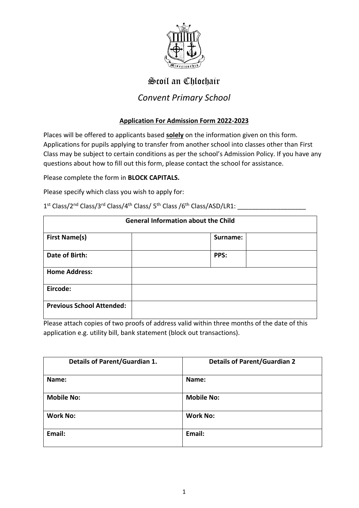

# Scoil an Chlochair

### *Convent Primary School*

#### **Application For Admission Form 2022-2023**

Places will be offered to applicants based **solely** on the information given on this form. Applications for pupils applying to transfer from another school into classes other than First Class may be subject to certain conditions as per the school's Admission Policy. If you have any questions about how to fill out this form, please contact the school for assistance.

Please complete the form in **BLOCK CAPITALS.**

Please specify which class you wish to apply for:

| <b>General Information about the Child</b> |          |  |  |  |
|--------------------------------------------|----------|--|--|--|
| <b>First Name(s)</b>                       | Surname: |  |  |  |
| Date of Birth:                             | PPS:     |  |  |  |
| <b>Home Address:</b>                       |          |  |  |  |
| Eircode:                                   |          |  |  |  |
| <b>Previous School Attended:</b>           |          |  |  |  |

1 st Class/2 nd Class/3 rd Class/4 th Class/ 5 th Class /6 th Class/ASD/LR1: \_\_\_\_\_\_\_\_\_\_\_\_\_\_\_\_\_\_\_

Please attach copies of two proofs of address valid within three months of the date of this application e.g. utility bill, bank statement (block out transactions).

| <b>Details of Parent/Guardian 1.</b> | <b>Details of Parent/Guardian 2</b> |
|--------------------------------------|-------------------------------------|
| Name:                                | Name:                               |
| <b>Mobile No:</b>                    | <b>Mobile No:</b>                   |
| <b>Work No:</b>                      | <b>Work No:</b>                     |
| Email:                               | Email:                              |